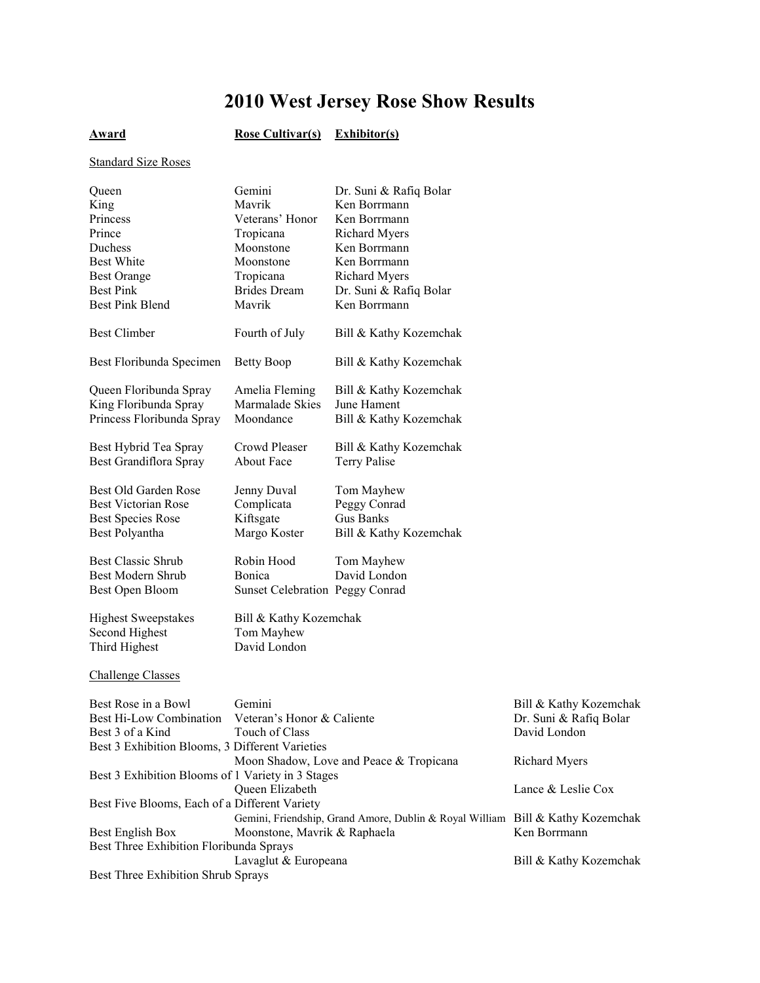# **2010 West Jersey Rose Show Results**

## **Award Rose Cultivar(s) Exhibitor(s)**

### Standard Size Roses

| Queen                                             | Gemini                          | Dr. Suni & Rafiq Bolar                                                         |                        |
|---------------------------------------------------|---------------------------------|--------------------------------------------------------------------------------|------------------------|
| King                                              | Mavrik                          | Ken Borrmann                                                                   |                        |
| Princess                                          | Veterans' Honor                 | Ken Borrmann                                                                   |                        |
| Prince                                            | Tropicana                       | <b>Richard Myers</b>                                                           |                        |
| Duchess                                           | Moonstone                       | Ken Borrmann                                                                   |                        |
| <b>Best White</b>                                 | Moonstone                       | Ken Borrmann                                                                   |                        |
| <b>Best Orange</b>                                | Tropicana                       | <b>Richard Myers</b>                                                           |                        |
| <b>Best Pink</b>                                  | <b>Brides</b> Dream             | Dr. Suni & Rafiq Bolar                                                         |                        |
| <b>Best Pink Blend</b>                            | Mavrik                          | Ken Borrmann                                                                   |                        |
|                                                   |                                 |                                                                                |                        |
| <b>Best Climber</b>                               | Fourth of July                  | Bill & Kathy Kozemchak                                                         |                        |
| Best Floribunda Specimen                          | <b>Betty Boop</b>               | Bill & Kathy Kozemchak                                                         |                        |
|                                                   |                                 |                                                                                |                        |
| Queen Floribunda Spray                            | Amelia Fleming                  | Bill & Kathy Kozemchak                                                         |                        |
| King Floribunda Spray                             | Marmalade Skies                 | June Hament                                                                    |                        |
| Princess Floribunda Spray                         | Moondance                       | Bill & Kathy Kozemchak                                                         |                        |
|                                                   |                                 |                                                                                |                        |
| Best Hybrid Tea Spray                             | Crowd Pleaser                   | Bill & Kathy Kozemchak                                                         |                        |
| Best Grandiflora Spray                            | About Face                      | <b>Terry Palise</b>                                                            |                        |
|                                                   |                                 |                                                                                |                        |
| Best Old Garden Rose                              | Jenny Duval                     | Tom Mayhew                                                                     |                        |
| <b>Best Victorian Rose</b>                        | Complicata                      | Peggy Conrad                                                                   |                        |
| <b>Best Species Rose</b>                          | Kiftsgate                       | <b>Gus Banks</b>                                                               |                        |
| Best Polyantha                                    | Margo Koster                    | Bill & Kathy Kozemchak                                                         |                        |
| <b>Best Classic Shrub</b>                         | Robin Hood                      | Tom Mayhew                                                                     |                        |
| Best Modern Shrub                                 | Bonica                          | David London                                                                   |                        |
| Best Open Bloom                                   | Sunset Celebration Peggy Conrad |                                                                                |                        |
|                                                   |                                 |                                                                                |                        |
| <b>Highest Sweepstakes</b>                        | Bill & Kathy Kozemchak          |                                                                                |                        |
| Second Highest                                    | Tom Mayhew                      |                                                                                |                        |
| Third Highest                                     | David London                    |                                                                                |                        |
|                                                   |                                 |                                                                                |                        |
| <b>Challenge Classes</b>                          |                                 |                                                                                |                        |
| Best Rose in a Bowl                               | Gemini                          |                                                                                | Bill & Kathy Kozemchak |
| Best Hi-Low Combination                           | Veteran's Honor & Caliente      |                                                                                | Dr. Suni & Rafiq Bolar |
| Best 3 of a Kind                                  | Touch of Class                  |                                                                                | David London           |
| Best 3 Exhibition Blooms, 3 Different Varieties   |                                 |                                                                                |                        |
|                                                   |                                 | Moon Shadow, Love and Peace & Tropicana                                        | <b>Richard Myers</b>   |
| Best 3 Exhibition Blooms of 1 Variety in 3 Stages |                                 |                                                                                |                        |
|                                                   | Queen Elizabeth                 |                                                                                | Lance & Leslie Cox     |
| Best Five Blooms, Each of a Different Variety     |                                 |                                                                                |                        |
|                                                   |                                 | Gemini, Friendship, Grand Amore, Dublin & Royal William Bill & Kathy Kozemchak |                        |
| Best English Box                                  | Moonstone, Mavrik & Raphaela    |                                                                                | Ken Borrmann           |
| Best Three Exhibition Floribunda Sprays           |                                 |                                                                                |                        |
|                                                   | Lavaglut & Europeana            |                                                                                | Bill & Kathy Kozemchak |
| Best Three Exhibition Shrub Sprays                |                                 |                                                                                |                        |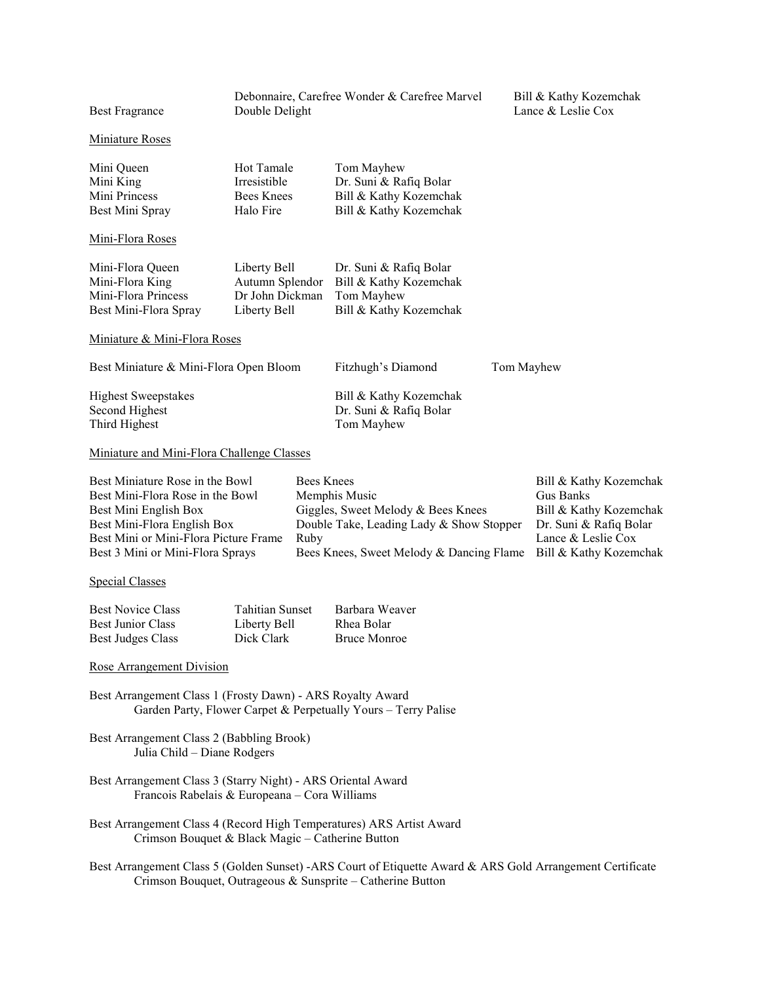Miniature Roses

| Mini Queen<br>Mini King | Hot Tamale<br>Irresistible | Tom Mayhew<br>Dr. Suni & Rafiq Bolar |
|-------------------------|----------------------------|--------------------------------------|
| Mini Princess           | Bees Knees                 | Bill & Kathy Kozemchak               |
| Best Mini Spray         | Halo Fire                  | Bill & Kathy Kozemchak               |

Mini-Flora Roses

| Mini-Flora Queen      | Liberty Bell    | Dr. Suni & Rafiq Bolar |
|-----------------------|-----------------|------------------------|
| Mini-Flora King       | Autumn Splendor | Bill & Kathy Kozemchak |
| Mini-Flora Princess   | Dr John Dickman | Tom Mayhew             |
| Best Mini-Flora Spray | Liberty Bell    | Bill & Kathy Kozemchak |

#### Miniature & Mini-Flora Roses

Fitzhugh's Diamond Tom Mayhew

| <b>Highest Sweepstakes</b> | Bill & Kathy Kozemchak |
|----------------------------|------------------------|
| Second Highest             | Dr. Suni & Rafiq Bolar |
| Third Highest              | Tom Mayhew             |

#### Miniature and Mini-Flora Challenge Classes

| Best Miniature Rose in the Bowl       | Bees Knees                                                      | Bill & Kathy Kozemchak |
|---------------------------------------|-----------------------------------------------------------------|------------------------|
| Best Mini-Flora Rose in the Bowl      | Memphis Music                                                   | Gus Banks              |
| Best Mini English Box                 | Giggles, Sweet Melody & Bees Knees                              | Bill & Kathy Kozemchak |
| Best Mini-Flora English Box           | Double Take, Leading Lady & Show Stopper                        | Dr. Suni & Rafiq Bolar |
| Best Mini or Mini-Flora Picture Frame | Ruby                                                            | Lance & Leslie Cox     |
| Best 3 Mini or Mini-Flora Sprays      | Bees Knees, Sweet Melody & Dancing Flame Bill & Kathy Kozemchak |                        |

### Special Classes

| <b>Best Novice Class</b> | <b>Tahitian Sunset</b> | Barbara Weaver      |
|--------------------------|------------------------|---------------------|
| <b>Best Junior Class</b> | Liberty Bell           | Rhea Bolar          |
| Best Judges Class        | Dick Clark             | <b>Bruce Monroe</b> |

#### Rose Arrangement Division

- Best Arrangement Class 1 (Frosty Dawn) ARS Royalty Award Garden Party, Flower Carpet & Perpetually Yours – Terry Palise
- Best Arrangement Class 2 (Babbling Brook) Julia Child – Diane Rodgers
- Best Arrangement Class 3 (Starry Night) ARS Oriental Award Francois Rabelais & Europeana – Cora Williams
- Best Arrangement Class 4 (Record High Temperatures) ARS Artist Award Crimson Bouquet & Black Magic – Catherine Button
- Best Arrangement Class 5 (Golden Sunset) -ARS Court of Etiquette Award & ARS Gold Arrangement Certificate Crimson Bouquet, Outrageous & Sunsprite – Catherine Button